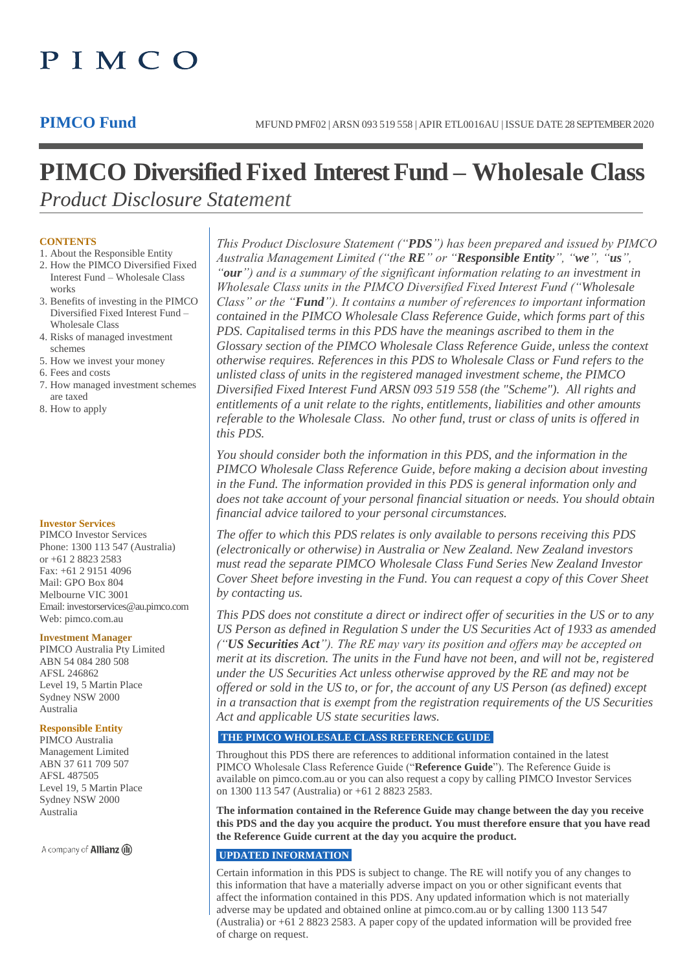# PIMCO

# **PIMCO Diversified Fixed Interest Fund – Wholesale Class** *Product Disclosure Statement*

# **CONTENTS**

- 1. About the Responsible Entity 2. How the PIMCO Diversified Fixed
- Interest Fund Wholesale Class works
- 3. Benefits of investing in the PIMCO Diversified Fixed Interest Fund – Wholesale Class
- 4. Risks of managed investment schemes
- 5. How we invest your money
- 6. Fees and costs
- 7. How managed investment schemes are taxed
- 8. How to apply

# **Investor Services**

PIMCO Investor Services Phone: 1300 113 547 (Australia) or +61 2 8823 2583 Fax: +61 2 9151 4096 Mail: GPO Box 804 Melbourne VIC 3001 Email: investorservices@au.pimco.com Web: pimco.com.au

#### **Investment Manager**

PIMCO Australia Pty Limited ABN 54 084 280 508 AFSL 246862 Level 19, 5 Martin Place Sydney NSW 2000 Australia

# **Responsible Entity**

PIMCO Australia Management Limited ABN 37 611 709 507 AFSL 487505 Level 19, 5 Martin Place Sydney NSW 2000 Australia

A company of **Allianz** (iii)

*This Product Disclosure Statement ("PDS") has been prepared and issued by PIMCO Australia Management Limited ("the RE" or "Responsible Entity", "we", "us", "our") and is a summary of the significant information relating to an investment in Wholesale Class units in the PIMCO Diversified Fixed Interest Fund ("Wholesale Class" or the "Fund"). It contains a number of references to important information contained in the PIMCO Wholesale Class Reference Guide, which forms part of this PDS. Capitalised terms in this PDS have the meanings ascribed to them in the Glossary section of the PIMCO Wholesale Class Reference Guide, unless the context otherwise requires. References in this PDS to Wholesale Class or Fund refers to the unlisted class of units in the registered managed investment scheme, the PIMCO Diversified Fixed Interest Fund ARSN 093 519 558 (the "Scheme"). All rights and entitlements of a unit relate to the rights, entitlements, liabilities and other amounts referable to the Wholesale Class. No other fund, trust or class of units is offered in this PDS.*

*You should consider both the information in this PDS, and the information in the PIMCO Wholesale Class Reference Guide, before making a decision about investing in the Fund. The information provided in this PDS is general information only and does not take account of your personal financial situation or needs. You should obtain financial advice tailored to your personal circumstances.*

*The offer to which this PDS relates is only available to persons receiving this PDS (electronically or otherwise) in Australia or New Zealand. New Zealand investors must read the separate PIMCO Wholesale Class Fund Series New Zealand Investor Cover Sheet before investing in the Fund. You can request a copy of this Cover Sheet by contacting us.*

*This PDS does not constitute a direct or indirect offer of securities in the US or to any US Person as defined in Regulation S under the US Securities Act of 1933 as amended ("US Securities Act"). The RE may vary its position and offers may be accepted on merit at its discretion. The units in the Fund have not been, and will not be, registered under the US Securities Act unless otherwise approved by the RE and may not be offered or sold in the US to, or for, the account of any US Person (as defined) except in a transaction that is exempt from the registration requirements of the US Securities Act and applicable US state securities laws.*

# **THE PIMCO WHOLESALE CLASS REFERENCE GUIDE**

Throughout this PDS there are references to additional information contained in the latest PIMCO Wholesale Class Reference Guide ("**Reference Guide**"). The Reference Guide is available on pimco.com.au or you can also request a copy by calling PIMCO Investor Services on 1300 113 547 (Australia) or +61 2 8823 2583.

**The information contained in the Reference Guide may change between the day you receive this PDS and the day you acquire the product. You must therefore ensure that you have read the Reference Guide current at the day you acquire the product.**

# **UPDATED INFORMATION**

Certain information in this PDS is subject to change. The RE will notify you of any changes to this information that have a materially adverse impact on you or other significant events that affect the information contained in this PDS. Any updated information which is not materially adverse may be updated and obtained online at pimco.com.au or by calling 1300 113 547 (Australia) or +61 2 8823 2583. A paper copy of the updated information will be provided free of charge on request.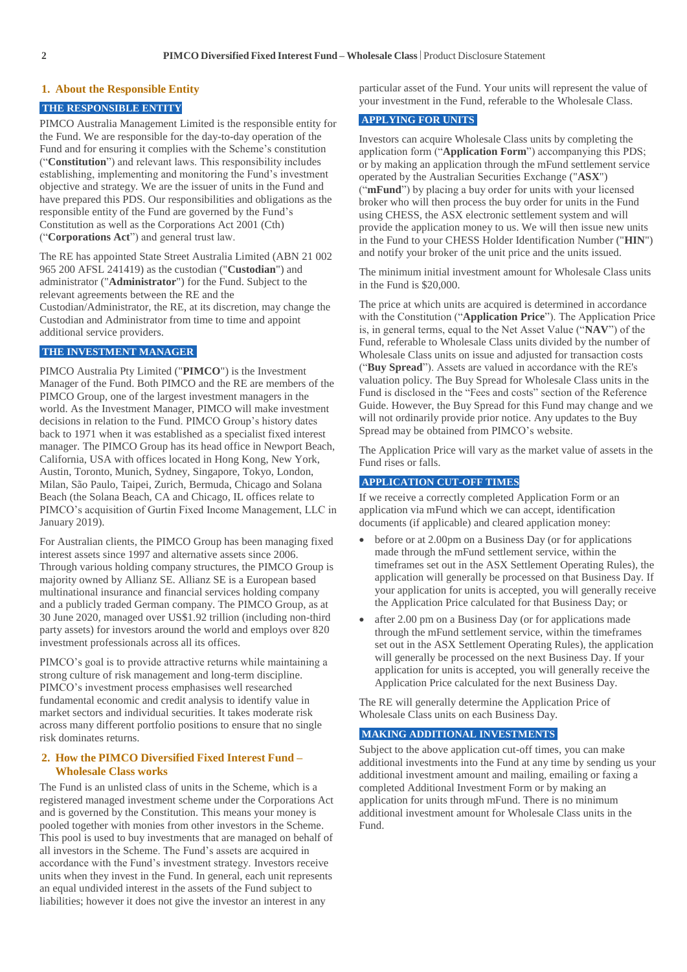#### **1. About the Responsible Entity**

# **THE RESPONSIBLE ENTITY**

PIMCO Australia Management Limited is the responsible entity for the Fund. We are responsible for the day-to-day operation of the Fund and for ensuring it complies with the Scheme's constitution ("**Constitution**") and relevant laws. This responsibility includes establishing, implementing and monitoring the Fund's investment objective and strategy. We are the issuer of units in the Fund and have prepared this PDS. Our responsibilities and obligations as the responsible entity of the Fund are governed by the Fund's Constitution as well as the Corporations Act 2001 (Cth) ("**Corporations Act**") and general trust law.

The RE has appointed State Street Australia Limited (ABN 21 002 965 200 AFSL 241419) as the custodian ("**Custodian**") and administrator ("**Administrator**") for the Fund. Subject to the relevant agreements between the RE and the Custodian/Administrator, the RE, at its discretion, may change the Custodian and Administrator from time to time and appoint additional service providers.

#### **THE INVESTMENT MANAGER**

PIMCO Australia Pty Limited ("**PIMCO**") is the Investment Manager of the Fund. Both PIMCO and the RE are members of the PIMCO Group, one of the largest investment managers in the world. As the Investment Manager, PIMCO will make investment decisions in relation to the Fund. PIMCO Group's history dates back to 1971 when it was established as a specialist fixed interest manager. The PIMCO Group has its head office in Newport Beach, California, USA with offices located in Hong Kong, New York, Austin, Toronto, Munich, Sydney, Singapore, Tokyo, London, Milan, São Paulo, Taipei, Zurich, Bermuda, Chicago and Solana Beach (the Solana Beach, CA and Chicago, IL offices relate to PIMCO's acquisition of Gurtin Fixed Income Management, LLC in January 2019).

For Australian clients, the PIMCO Group has been managing fixed interest assets since 1997 and alternative assets since 2006. Through various holding company structures, the PIMCO Group is majority owned by Allianz SE. Allianz SE is a European based multinational insurance and financial services holding company and a publicly traded German company. The PIMCO Group, as at 30 June 2020, managed over US\$1.92 trillion (including non-third party assets) for investors around the world and employs over 820 investment professionals across all its offices.

PIMCO's goal is to provide attractive returns while maintaining a strong culture of risk management and long-term discipline. PIMCO's investment process emphasises well researched fundamental economic and credit analysis to identify value in market sectors and individual securities. It takes moderate risk across many different portfolio positions to ensure that no single risk dominates returns.

# **2. How the PIMCO Diversified Fixed Interest Fund – Wholesale Class works**

The Fund is an unlisted class of units in the Scheme, which is a registered managed investment scheme under the Corporations Act and is governed by the Constitution. This means your money is pooled together with monies from other investors in the Scheme. This pool is used to buy investments that are managed on behalf of all investors in the Scheme. The Fund's assets are acquired in accordance with the Fund's investment strategy. Investors receive units when they invest in the Fund. In general, each unit represents an equal undivided interest in the assets of the Fund subject to liabilities; however it does not give the investor an interest in any

particular asset of the Fund. Your units will represent the value of your investment in the Fund, referable to the Wholesale Class.

# **APPLYING FOR UNITS**

Investors can acquire Wholesale Class units by completing the application form ("**Application Form**") accompanying this PDS; or by making an application through the mFund settlement service operated by the Australian Securities Exchange ("**ASX**") ("**mFund**") by placing a buy order for units with your licensed broker who will then process the buy order for units in the Fund using CHESS, the ASX electronic settlement system and will provide the application money to us. We will then issue new units in the Fund to your CHESS Holder Identification Number ("**HIN**") and notify your broker of the unit price and the units issued.

The minimum initial investment amount for Wholesale Class units in the Fund is \$20,000.

The price at which units are acquired is determined in accordance with the Constitution ("**Application Price**"). The Application Price is, in general terms, equal to the Net Asset Value ("**NAV**") of the Fund, referable to Wholesale Class units divided by the number of Wholesale Class units on issue and adjusted for transaction costs ("**Buy Spread**"). Assets are valued in accordance with the RE's valuation policy. The Buy Spread for Wholesale Class units in the Fund is disclosed in the "Fees and costs" section of the Reference Guide. However, the Buy Spread for this Fund may change and we will not ordinarily provide prior notice. Any updates to the Buy Spread may be obtained from PIMCO's website.

The Application Price will vary as the market value of assets in the Fund rises or falls.

# **APPLICATION CUT-OFF TIMES**

If we receive a correctly completed Application Form or an application via mFund which we can accept, identification documents (if applicable) and cleared application money:

- before or at 2.00pm on a Business Day (or for applications made through the mFund settlement service, within the timeframes set out in the ASX Settlement Operating Rules), the application will generally be processed on that Business Day. If your application for units is accepted, you will generally receive the Application Price calculated for that Business Day; or
- after 2.00 pm on a Business Day (or for applications made through the mFund settlement service, within the timeframes set out in the ASX Settlement Operating Rules), the application will generally be processed on the next Business Day. If your application for units is accepted, you will generally receive the Application Price calculated for the next Business Day.

The RE will generally determine the Application Price of Wholesale Class units on each Business Day.

#### **MAKING ADDITIONAL INVESTMENTS**

Subject to the above application cut-off times, you can make additional investments into the Fund at any time by sending us your additional investment amount and mailing, emailing or faxing a completed Additional Investment Form or by making an application for units through mFund. There is no minimum additional investment amount for Wholesale Class units in the Fund.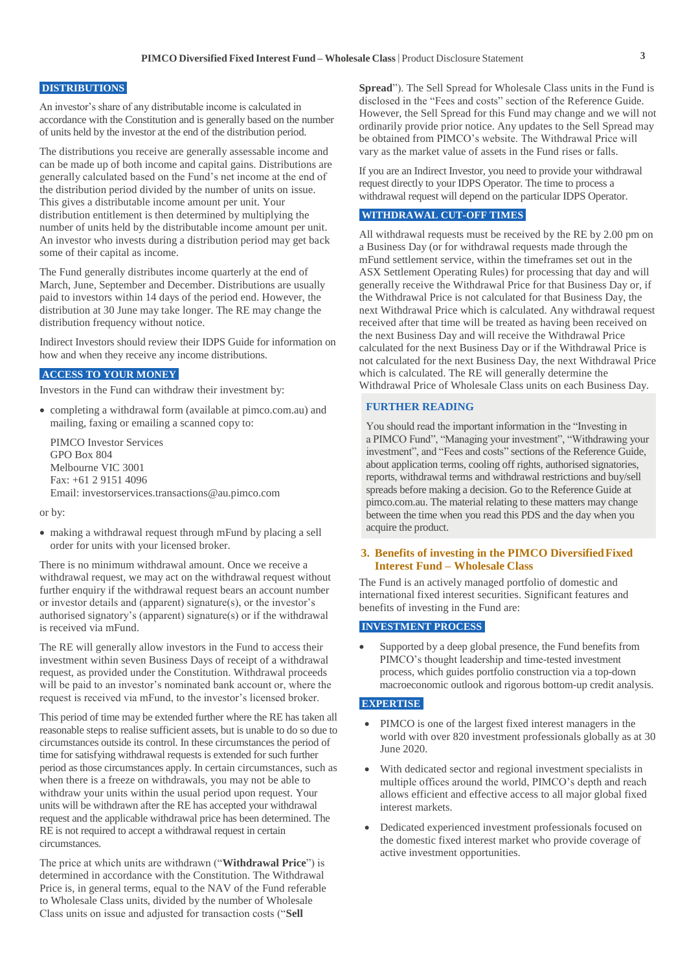# **DISTRIBUTIONS**

An investor's share of any distributable income is calculated in accordance with the Constitution and is generally based on the number of units held by the investor at the end of the distribution period.

The distributions you receive are generally assessable income and can be made up of both income and capital gains. Distributions are generally calculated based on the Fund's net income at the end of the distribution period divided by the number of units on issue. This gives a distributable income amount per unit. Your distribution entitlement is then determined by multiplying the number of units held by the distributable income amount per unit. An investor who invests during a distribution period may get back some of their capital as income.

The Fund generally distributes income quarterly at the end of March, June, September and December. Distributions are usually paid to investors within 14 days of the period end. However, the distribution at 30 June may take longer. The RE may change the distribution frequency without notice.

Indirect Investors should review their IDPS Guide for information on how and when they receive any income distributions.

# **ACCESS TO YOUR MONEY**

Investors in the Fund can withdraw their investment by:

 completing a withdrawal form (available at pimco.com.au) and mailing, faxing or emailing a scanned copy to:

PIMCO Investor Services GPO Box 804 Melbourne VIC 3001 Fax: +61 2 9151 4096 Email: investorservices.transactions@au.pimco.com

or by:

 making a withdrawal request through mFund by placing a sell order for units with your licensed broker.

There is no minimum withdrawal amount. Once we receive a withdrawal request, we may act on the withdrawal request without further enquiry if the withdrawal request bears an account number or investor details and (apparent) signature(s), or the investor's authorised signatory's (apparent) signature(s) or if the withdrawal is received via mFund.

The RE will generally allow investors in the Fund to access their investment within seven Business Days of receipt of a withdrawal request, as provided under the Constitution. Withdrawal proceeds will be paid to an investor's nominated bank account or, where the request is received via mFund, to the investor's licensed broker.

This period of time may be extended further where the RE has taken all reasonable steps to realise sufficient assets, but is unable to do so due to circumstances outside its control. In these circumstances the period of time for satisfying withdrawal requests is extended for such further period as those circumstances apply. In certain circumstances, such as when there is a freeze on withdrawals, you may not be able to withdraw your units within the usual period upon request. Your units will be withdrawn after the RE has accepted your withdrawal request and the applicable withdrawal price has been determined. The RE is not required to accept a withdrawal request in certain circumstances.

The price at which units are withdrawn ("**Withdrawal Price**") is determined in accordance with the Constitution. The Withdrawal Price is, in general terms, equal to the NAV of the Fund referable to Wholesale Class units, divided by the number of Wholesale Class units on issue and adjusted for transaction costs ("**Sell** 

**Spread**"). The Sell Spread for Wholesale Class units in the Fund is disclosed in the "Fees and costs" section of the Reference Guide. However, the Sell Spread for this Fund may change and we will not ordinarily provide prior notice. Any updates to the Sell Spread may be obtained from PIMCO's website. The Withdrawal Price will vary as the market value of assets in the Fund rises or falls.

If you are an Indirect Investor, you need to provide your withdrawal request directly to your IDPS Operator. The time to process a withdrawal request will depend on the particular IDPS Operator.

# **WITHDRAWAL CUT-OFF TIMES**

All withdrawal requests must be received by the RE by 2.00 pm on a Business Day (or for withdrawal requests made through the mFund settlement service, within the timeframes set out in the ASX Settlement Operating Rules) for processing that day and will generally receive the Withdrawal Price for that Business Day or, if the Withdrawal Price is not calculated for that Business Day, the next Withdrawal Price which is calculated. Any withdrawal request received after that time will be treated as having been received on the next Business Day and will receive the Withdrawal Price calculated for the next Business Day or if the Withdrawal Price is not calculated for the next Business Day, the next Withdrawal Price which is calculated. The RE will generally determine the Withdrawal Price of Wholesale Class units on each Business Day.

#### **FURTHER READING**

You should read the important information in the "Investing in a PIMCO Fund", "Managing your investment", "Withdrawing your investment", and "Fees and costs" sections of the Reference Guide, about application terms, cooling off rights, authorised signatories, reports, withdrawal terms and withdrawal restrictions and buy/sell spreads before making a decision. Go to the Reference Guide at pimco.com.au. The material relating to these matters may change between the time when you read this PDS and the day when you acquire the product.

# **3. Benefits of investing in the PIMCO DiversifiedFixed Interest Fund – Wholesale Class**

The Fund is an actively managed portfolio of domestic and international fixed interest securities. Significant features and benefits of investing in the Fund are:

# **INVESTMENT PROCESS**

 Supported by a deep global presence, the Fund benefits from PIMCO's thought leadership and time-tested investment process, which guides portfolio construction via a top-down macroeconomic outlook and rigorous bottom-up credit analysis.

# **EXPERTISE**

- PIMCO is one of the largest fixed interest managers in the world with over 820 investment professionals globally as at 30 June 2020.
- With dedicated sector and regional investment specialists in multiple offices around the world, PIMCO's depth and reach allows efficient and effective access to all major global fixed interest markets.
- Dedicated experienced investment professionals focused on the domestic fixed interest market who provide coverage of active investment opportunities.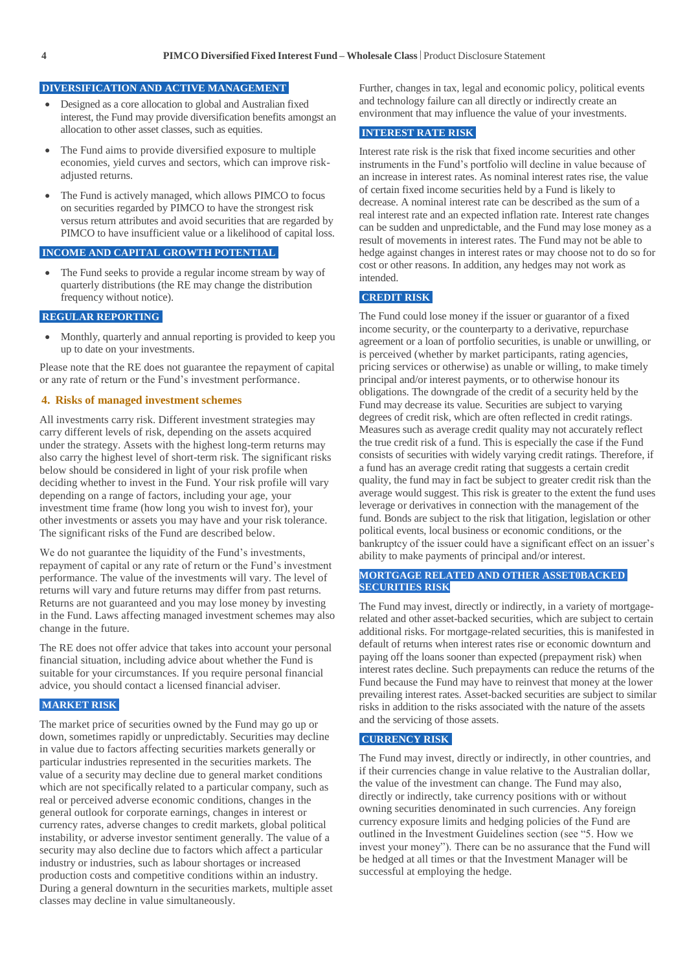# **DIVERSIFICATION AND ACTIVE MANAGEMENT**

- Designed as a core allocation to global and Australian fixed interest, the Fund may provide diversification benefits amongst an allocation to other asset classes, such as equities.
- The Fund aims to provide diversified exposure to multiple economies, yield curves and sectors, which can improve riskadjusted returns.
- The Fund is actively managed, which allows PIMCO to focus on securities regarded by PIMCO to have the strongest risk versus return attributes and avoid securities that are regarded by PIMCO to have insufficient value or a likelihood of capital loss.

#### **INCOME AND CAPITAL GROWTH POTENTIAL**

 The Fund seeks to provide a regular income stream by way of quarterly distributions (the RE may change the distribution frequency without notice).

#### **REGULAR REPORTING**

 Monthly, quarterly and annual reporting is provided to keep you up to date on your investments.

Please note that the RE does not guarantee the repayment of capital or any rate of return or the Fund's investment performance.

#### **4. Risks of managed investment schemes**

All investments carry risk. Different investment strategies may carry different levels of risk, depending on the assets acquired under the strategy. Assets with the highest long-term returns may also carry the highest level of short-term risk. The significant risks below should be considered in light of your risk profile when deciding whether to invest in the Fund. Your risk profile will vary depending on a range of factors, including your age, your investment time frame (how long you wish to invest for), your other investments or assets you may have and your risk tolerance. The significant risks of the Fund are described below.

We do not guarantee the liquidity of the Fund's investments, repayment of capital or any rate of return or the Fund's investment performance. The value of the investments will vary. The level of returns will vary and future returns may differ from past returns. Returns are not guaranteed and you may lose money by investing in the Fund. Laws affecting managed investment schemes may also change in the future.

The RE does not offer advice that takes into account your personal financial situation, including advice about whether the Fund is suitable for your circumstances. If you require personal financial advice, you should contact a licensed financial adviser.

# **MARKET RISK**

The market price of securities owned by the Fund may go up or down, sometimes rapidly or unpredictably. Securities may decline in value due to factors affecting securities markets generally or particular industries represented in the securities markets. The value of a security may decline due to general market conditions which are not specifically related to a particular company, such as real or perceived adverse economic conditions, changes in the general outlook for corporate earnings, changes in interest or currency rates, adverse changes to credit markets, global political instability, or adverse investor sentiment generally. The value of a security may also decline due to factors which affect a particular industry or industries, such as labour shortages or increased production costs and competitive conditions within an industry. During a general downturn in the securities markets, multiple asset classes may decline in value simultaneously.

Further, changes in tax, legal and economic policy, political events and technology failure can all directly or indirectly create an environment that may influence the value of your investments.

# **INTEREST RATE RISK**

Interest rate risk is the risk that fixed income securities and other instruments in the Fund's portfolio will decline in value because of an increase in interest rates. As nominal interest rates rise, the value of certain fixed income securities held by a Fund is likely to decrease. A nominal interest rate can be described as the sum of a real interest rate and an expected inflation rate. Interest rate changes can be sudden and unpredictable, and the Fund may lose money as a result of movements in interest rates. The Fund may not be able to hedge against changes in interest rates or may choose not to do so for cost or other reasons. In addition, any hedges may not work as intended.

# **CREDIT RISK**

The Fund could lose money if the issuer or guarantor of a fixed income security, or the counterparty to a derivative, repurchase agreement or a loan of portfolio securities, is unable or unwilling, or is perceived (whether by market participants, rating agencies, pricing services or otherwise) as unable or willing, to make timely principal and/or interest payments, or to otherwise honour its obligations. The downgrade of the credit of a security held by the Fund may decrease its value. Securities are subject to varying degrees of credit risk, which are often reflected in credit ratings. Measures such as average credit quality may not accurately reflect the true credit risk of a fund. This is especially the case if the Fund consists of securities with widely varying credit ratings. Therefore, if a fund has an average credit rating that suggests a certain credit quality, the fund may in fact be subject to greater credit risk than the average would suggest. This risk is greater to the extent the fund uses leverage or derivatives in connection with the management of the fund. Bonds are subject to the risk that litigation, legislation or other political events, local business or economic conditions, or the bankruptcy of the issuer could have a significant effect on an issuer's ability to make payments of principal and/or interest.

# **MORTGAGE RELATED AND OTHER ASSET0BACKED SECURITIES RISK**

The Fund may invest, directly or indirectly, in a variety of mortgagerelated and other asset-backed securities, which are subject to certain additional risks. For mortgage-related securities, this is manifested in default of returns when interest rates rise or economic downturn and paying off the loans sooner than expected (prepayment risk) when interest rates decline. Such prepayments can reduce the returns of the Fund because the Fund may have to reinvest that money at the lower prevailing interest rates. Asset-backed securities are subject to similar risks in addition to the risks associated with the nature of the assets and the servicing of those assets.

# **CURRENCY RISK**

The Fund may invest, directly or indirectly, in other countries, and if their currencies change in value relative to the Australian dollar, the value of the investment can change. The Fund may also, directly or indirectly, take currency positions with or without owning securities denominated in such currencies. Any foreign currency exposure limits and hedging policies of the Fund are outlined in the Investment Guidelines section (see "5. How we invest your money"). There can be no assurance that the Fund will be hedged at all times or that the Investment Manager will be successful at employing the hedge.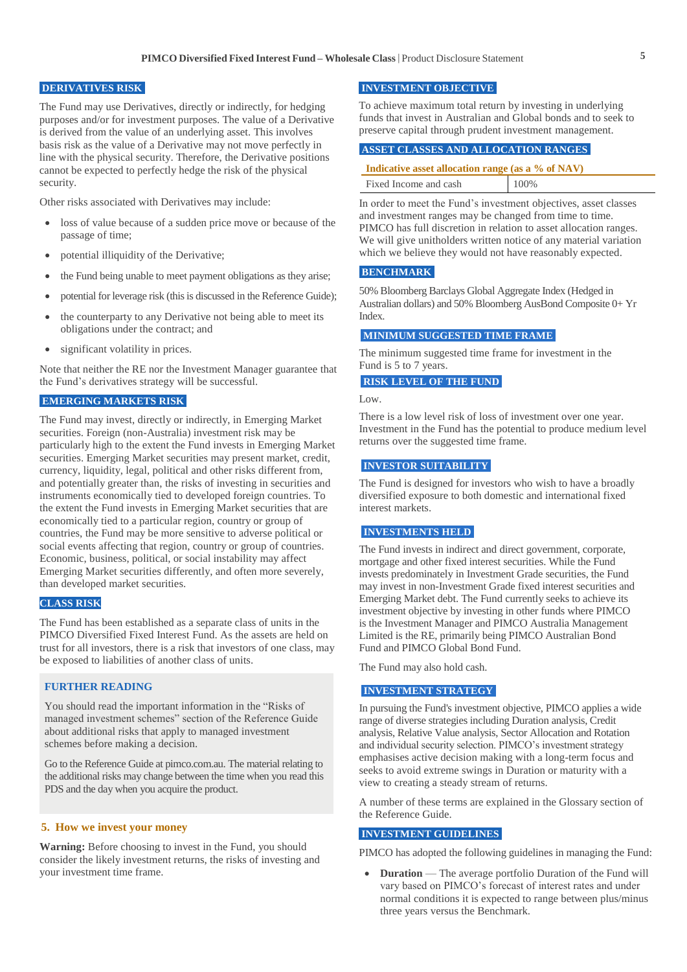# **DERIVATIVES RISK**

The Fund may use Derivatives, directly or indirectly, for hedging purposes and/or for investment purposes. The value of a Derivative is derived from the value of an underlying asset. This involves basis risk as the value of a Derivative may not move perfectly in line with the physical security. Therefore, the Derivative positions cannot be expected to perfectly hedge the risk of the physical security.

Other risks associated with Derivatives may include:

- loss of value because of a sudden price move or because of the passage of time;
- potential illiquidity of the Derivative;
- the Fund being unable to meet payment obligations as they arise;
- potential for leverage risk (this is discussed in the Reference Guide);
- the counterparty to any Derivative not being able to meet its obligations under the contract; and
- significant volatility in prices.

Note that neither the RE nor the Investment Manager guarantee that the Fund's derivatives strategy will be successful.

### **EMERGING MARKETS RISK**

The Fund may invest, directly or indirectly, in Emerging Market securities. Foreign (non-Australia) investment risk may be particularly high to the extent the Fund invests in Emerging Market securities. Emerging Market securities may present market, credit, currency, liquidity, legal, political and other risks different from, and potentially greater than, the risks of investing in securities and instruments economically tied to developed foreign countries. To the extent the Fund invests in Emerging Market securities that are economically tied to a particular region, country or group of countries, the Fund may be more sensitive to adverse political or social events affecting that region, country or group of countries. Economic, business, political, or social instability may affect Emerging Market securities differently, and often more severely, than developed market securities.

# **CLASS RISK**

The Fund has been established as a separate class of units in the PIMCO Diversified Fixed Interest Fund. As the assets are held on trust for all investors, there is a risk that investors of one class, may be exposed to liabilities of another class of units.

# **FURTHER READING**

You should read the important information in the "Risks of managed investment schemes" section of the Reference Guide about additional risks that apply to managed investment schemes before making a decision.

Go to the Reference Guide at pimco.com.au. The material relating to the additional risks may change between the time when you read this PDS and the day when you acquire the product.

#### **5. How we invest your money**

**Warning:** Before choosing to invest in the Fund, you should consider the likely investment returns, the risks of investing and your investment time frame.

# **INVESTMENT OBJECTIVE**

To achieve maximum total return by investing in underlying funds that invest in Australian and Global bonds and to seek to preserve capital through prudent investment management.

# **ASSET CLASSES AND ALLOCATION RANGES**

| Indicative asset allocation range (as a % of NAV) |      |  |
|---------------------------------------------------|------|--|
| Fixed Income and cash                             | 100% |  |

In order to meet the Fund's investment objectives, asset classes and investment ranges may be changed from time to time. PIMCO has full discretion in relation to asset allocation ranges. We will give unitholders written notice of any material variation which we believe they would not have reasonably expected.

# **BENCHMARK**

50% Bloomberg Barclays Global Aggregate Index (Hedged in Australian dollars) and 50% Bloomberg AusBond Composite 0+ Yr Index.

#### **MINIMUM SUGGESTED TIME FRAME**

The minimum suggested time frame for investment in the Fund is 5 to 7 years.

#### **RISK LEVEL OF THE FUND**

Low.

There is a low level risk of loss of investment over one year. Investment in the Fund has the potential to produce medium level returns over the suggested time frame.

#### **INVESTOR SUITABILITY**

The Fund is designed for investors who wish to have a broadly diversified exposure to both domestic and international fixed interest markets.

# **INVESTMENTS HELD**

The Fund invests in indirect and direct government, corporate, mortgage and other fixed interest securities. While the Fund invests predominately in Investment Grade securities, the Fund may invest in non-Investment Grade fixed interest securities and Emerging Market debt. The Fund currently seeks to achieve its investment objective by investing in other funds where PIMCO is the Investment Manager and PIMCO Australia Management Limited is the RE, primarily being PIMCO Australian Bond Fund and PIMCO Global Bond Fund.

The Fund may also hold cash.

# **INVESTMENT STRATEGY**

In pursuing the Fund's investment objective, PIMCO applies a wide range of diverse strategies including Duration analysis, Credit analysis, Relative Value analysis, Sector Allocation and Rotation and individual security selection. PIMCO's investment strategy emphasises active decision making with a long-term focus and seeks to avoid extreme swings in Duration or maturity with a view to creating a steady stream of returns.

A number of these terms are explained in the Glossary section of the Reference Guide.

# **INVESTMENT GUIDELINES**

PIMCO has adopted the following guidelines in managing the Fund:

**Duration** — The average portfolio Duration of the Fund will vary based on PIMCO's forecast of interest rates and under normal conditions it is expected to range between plus/minus three years versus the Benchmark.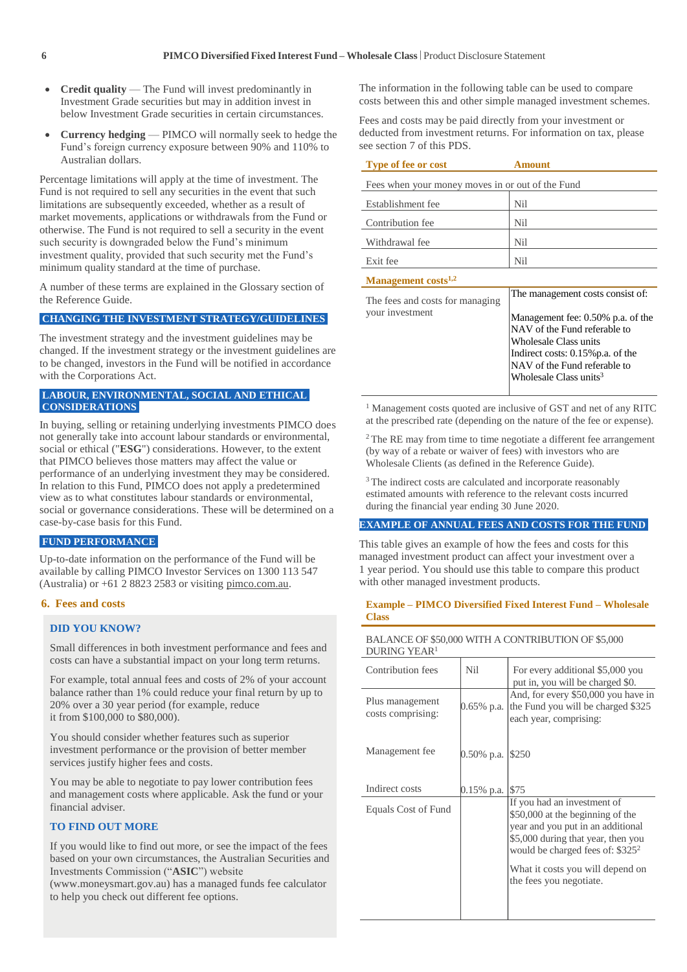- **Credit quality** The Fund will invest predominantly in Investment Grade securities but may in addition invest in below Investment Grade securities in certain circumstances.
- **Currency hedging** PIMCO will normally seek to hedge the Fund's foreign currency exposure between 90% and 110% to Australian dollars.

Percentage limitations will apply at the time of investment. The Fund is not required to sell any securities in the event that such limitations are subsequently exceeded, whether as a result of market movements, applications or withdrawals from the Fund or otherwise. The Fund is not required to sell a security in the event such security is downgraded below the Fund's minimum investment quality, provided that such security met the Fund's minimum quality standard at the time of purchase.

A number of these terms are explained in the Glossary section of the Reference Guide.

# **CHANGING THE INVESTMENT STRATEGY/GUIDELINES**

The investment strategy and the investment guidelines may be changed. If the investment strategy or the investment guidelines are to be changed, investors in the Fund will be notified in accordance with the Corporations Act.

# **LABOUR, ENVIRONMENTAL, SOCIAL AND ETHICAL CONSIDERATIONS**

In buying, selling or retaining underlying investments PIMCO does not generally take into account labour standards or environmental, social or ethical ("**ESG**") considerations. However, to the extent that PIMCO believes those matters may affect the value or performance of an underlying investment they may be considered. In relation to this Fund, PIMCO does not apply a predetermined view as to what constitutes labour standards or environmental, social or governance considerations. These will be determined on a case-by-case basis for this Fund.

# **FUND PERFORMANCE**

Up-to-date information on the performance of the Fund will be available by calling PIMCO Investor Services on 1300 113 547 (Australia) or  $+61$  2 8823 2583 or visiting pimco.com.au.

# **6. Fees and costs**

#### **DID YOU KNOW?**

Small differences in both investment performance and fees and costs can have a substantial impact on your long term returns.

For example, total annual fees and costs of 2% of your account balance rather than 1% could reduce your final return by up to 20% over a 30 year period (for example, reduce it from \$100,000 to \$80,000).

You should consider whether features such as superior investment performance or the provision of better member services justify higher fees and costs.

You may be able to negotiate to pay lower contribution fees and management costs where applicable. Ask the fund or your financial adviser.

# **TO FIND OUT MORE**

If you would like to find out more, or see the impact of the fees based on your own circumstances, the Australian Securities and Investments Commission ("**ASIC**") website

(www.moneysmart.gov.au) has a managed funds fee calculator to help you check out different fee options.

The information in the following table can be used to compare costs between this and other simple managed investment schemes.

Fees and costs may be paid directly from your investment or deducted from investment returns. For information on tax, please see section 7 of this PDS.

| Type of fee or cost                              | Amount                                                                                                                                                                                                |  |
|--------------------------------------------------|-------------------------------------------------------------------------------------------------------------------------------------------------------------------------------------------------------|--|
| Fees when your money moves in or out of the Fund |                                                                                                                                                                                                       |  |
| Establishment fee                                | Nil                                                                                                                                                                                                   |  |
| Contribution fee                                 | Nil                                                                                                                                                                                                   |  |
| Withdrawal fee                                   | Nil                                                                                                                                                                                                   |  |
| Exit fee                                         | Nil                                                                                                                                                                                                   |  |
| Management costs <sup>1,2</sup>                  |                                                                                                                                                                                                       |  |
| The fees and costs for managing                  | The management costs consist of:                                                                                                                                                                      |  |
| your investment                                  | Management fee: 0.50% p.a. of the<br>NAV of the Fund referable to<br>Wholesale Class units<br>Indirect costs: 0.15% p.a. of the<br>NAV of the Fund referable to<br>Wholesale Class units <sup>3</sup> |  |

<sup>1</sup> Management costs quoted are inclusive of GST and net of any RITC at the prescribed rate (depending on the nature of the fee or expense).

<sup>2</sup>The RE may from time to time negotiate a different fee arrangement (by way of a rebate or waiver of fees) with investors who are Wholesale Clients (as defined in the Reference Guide).

<sup>3</sup> The indirect costs are calculated and incorporate reasonably estimated amounts with reference to the relevant costs incurred during the financial year ending 30 June 2020.

#### **EXAMPLE OF ANNUAL FEES AND COSTS FOR THE FUND**

This table gives an example of how the fees and costs for this managed investment product can affect your investment over a 1 year period. You should use this table to compare this product with other managed investment products.

#### **Example – PIMCO Diversified Fixed Interest Fund – Wholesale Class**

#### BALANCE OF \$50,000 WITH A CONTRIBUTION OF \$5,000 DURING YEAR<sup>1</sup>

| Contribution fees                    | Nil           | For every additional \$5,000 you<br>put in, you will be charged \$0.                                                                                                             |
|--------------------------------------|---------------|----------------------------------------------------------------------------------------------------------------------------------------------------------------------------------|
| Plus management<br>costs comprising: | 0.65% p.a.    | And, for every \$50,000 you have in<br>the Fund you will be charged \$325<br>each year, comprising:                                                                              |
| Management fee                       | $0.50\%$ p.a. | \$250                                                                                                                                                                            |
| Indirect costs                       | $0.15\%$ p.a. | \$75                                                                                                                                                                             |
| Equals Cost of Fund                  |               | If you had an investment of<br>\$50,000 at the beginning of the<br>year and you put in an additional<br>\$5,000 during that year, then you<br>would be charged fees of: $$325^2$ |
|                                      |               | What it costs you will depend on<br>the fees you negotiate.                                                                                                                      |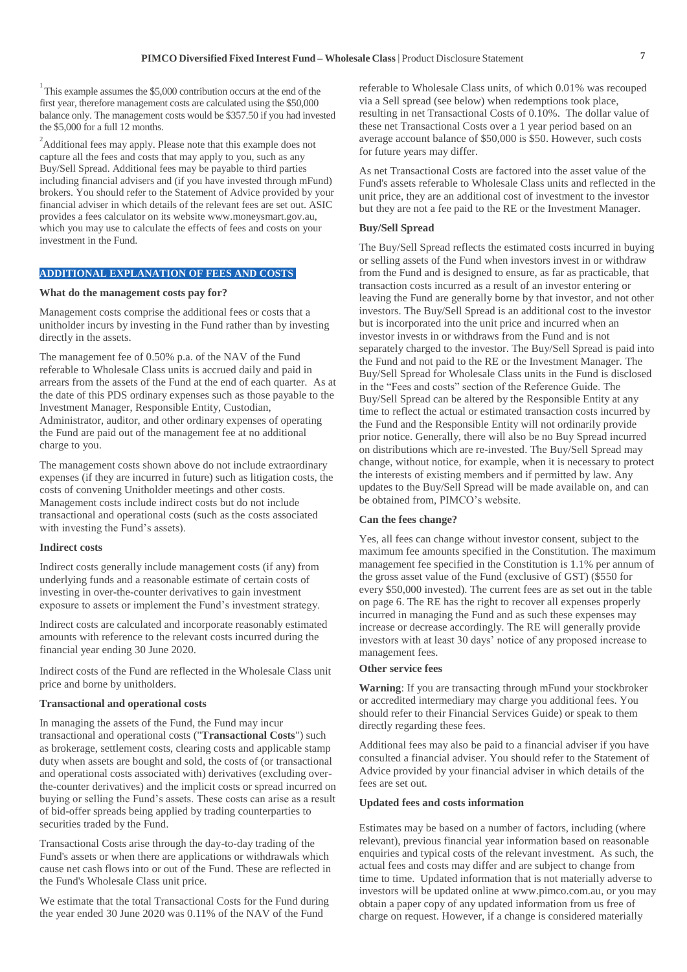$1$ <sup>1</sup>This example assumes the \$5,000 contribution occurs at the end of the first year, therefore management costs are calculated using the \$50,000 balance only. The management costs would be \$357.50 if you had invested the \$5,000 for a full 12 months.

<sup>2</sup>Additional fees may apply. Please note that this example does not capture all the fees and costs that may apply to you, such as any Buy/Sell Spread. Additional fees may be payable to third parties including financial advisers and (if you have invested through mFund) brokers. You should refer to the Statement of Advice provided by your financial adviser in which details of the relevant fees are set out. ASIC provides a fees calculator on its website www.moneysmart.gov.au, which you may use to calculate the effects of fees and costs on your investment in the Fund.

# **ADDITIONAL EXPLANATION OF FEES AND COSTS**

#### **What do the management costs pay for?**

Management costs comprise the additional fees or costs that a unitholder incurs by investing in the Fund rather than by investing directly in the assets.

The management fee of 0.50% p.a. of the NAV of the Fund referable to Wholesale Class units is accrued daily and paid in arrears from the assets of the Fund at the end of each quarter. As at the date of this PDS ordinary expenses such as those payable to the Investment Manager, Responsible Entity, Custodian, Administrator, auditor, and other ordinary expenses of operating the Fund are paid out of the management fee at no additional charge to you.

The management costs shown above do not include extraordinary expenses (if they are incurred in future) such as litigation costs, the costs of convening Unitholder meetings and other costs. Management costs include indirect costs but do not include transactional and operational costs (such as the costs associated with investing the Fund's assets).

#### **Indirect costs**

Indirect costs generally include management costs (if any) from underlying funds and a reasonable estimate of certain costs of investing in over-the-counter derivatives to gain investment exposure to assets or implement the Fund's investment strategy.

Indirect costs are calculated and incorporate reasonably estimated amounts with reference to the relevant costs incurred during the financial year ending 30 June 2020.

Indirect costs of the Fund are reflected in the Wholesale Class unit price and borne by unitholders.

# **Transactional and operational costs**

In managing the assets of the Fund, the Fund may incur transactional and operational costs ("**Transactional Costs**") such as brokerage, settlement costs, clearing costs and applicable stamp duty when assets are bought and sold, the costs of (or transactional and operational costs associated with) derivatives (excluding overthe-counter derivatives) and the implicit costs or spread incurred on buying or selling the Fund's assets. These costs can arise as a result of bid-offer spreads being applied by trading counterparties to securities traded by the Fund.

Transactional Costs arise through the day-to-day trading of the Fund's assets or when there are applications or withdrawals which cause net cash flows into or out of the Fund. These are reflected in the Fund's Wholesale Class unit price.

We estimate that the total Transactional Costs for the Fund during the year ended 30 June 2020 was 0.11% of the NAV of the Fund

referable to Wholesale Class units, of which 0.01% was recouped via a Sell spread (see below) when redemptions took place, resulting in net Transactional Costs of 0.10%. The dollar value of these net Transactional Costs over a 1 year period based on an average account balance of \$50,000 is \$50. However, such costs for future years may differ.

As net Transactional Costs are factored into the asset value of the Fund's assets referable to Wholesale Class units and reflected in the unit price, they are an additional cost of investment to the investor but they are not a fee paid to the RE or the Investment Manager.

#### **Buy/Sell Spread**

The Buy/Sell Spread reflects the estimated costs incurred in buying or selling assets of the Fund when investors invest in or withdraw from the Fund and is designed to ensure, as far as practicable, that transaction costs incurred as a result of an investor entering or leaving the Fund are generally borne by that investor, and not other investors. The Buy/Sell Spread is an additional cost to the investor but is incorporated into the unit price and incurred when an investor invests in or withdraws from the Fund and is not separately charged to the investor. The Buy/Sell Spread is paid into the Fund and not paid to the RE or the Investment Manager. The Buy/Sell Spread for Wholesale Class units in the Fund is disclosed in the "Fees and costs" section of the Reference Guide. The Buy/Sell Spread can be altered by the Responsible Entity at any time to reflect the actual or estimated transaction costs incurred by the Fund and the Responsible Entity will not ordinarily provide prior notice. Generally, there will also be no Buy Spread incurred on distributions which are re-invested. The Buy/Sell Spread may change, without notice, for example, when it is necessary to protect the interests of existing members and if permitted by law. Any updates to the Buy/Sell Spread will be made available on, and can be obtained from, PIMCO's website.

#### **Can the fees change?**

Yes, all fees can change without investor consent, subject to the maximum fee amounts specified in the Constitution. The maximum management fee specified in the Constitution is 1.1% per annum of the gross asset value of the Fund (exclusive of GST) (\$550 for every \$50,000 invested). The current fees are as set out in the table on page 6. The RE has the right to recover all expenses properly incurred in managing the Fund and as such these expenses may increase or decrease accordingly. The RE will generally provide investors with at least 30 days' notice of any proposed increase to management fees.

# **Other service fees**

**Warning**: If you are transacting through mFund your stockbroker or accredited intermediary may charge you additional fees. You should refer to their Financial Services Guide) or speak to them directly regarding these fees.

Additional fees may also be paid to a financial adviser if you have consulted a financial adviser. You should refer to the Statement of Advice provided by your financial adviser in which details of the fees are set out.

#### **Updated fees and costs information**

Estimates may be based on a number of factors, including (where relevant), previous financial year information based on reasonable enquiries and typical costs of the relevant investment. As such, the actual fees and costs may differ and are subject to change from time to time. Updated information that is not materially adverse to investors will be updated online at www.pimco.com.au, or you may obtain a paper copy of any updated information from us free of charge on request. However, if a change is considered materially